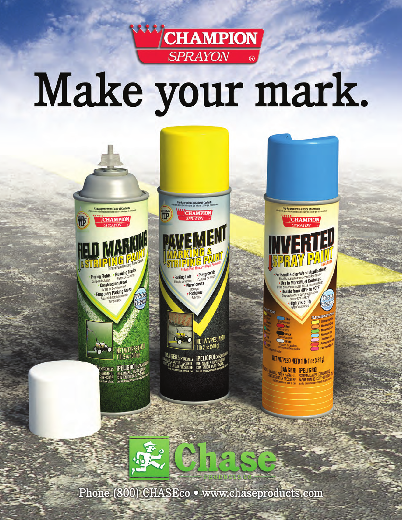

# Make your mark.



Phone (800) CHASEco · www.chaseproducts.com